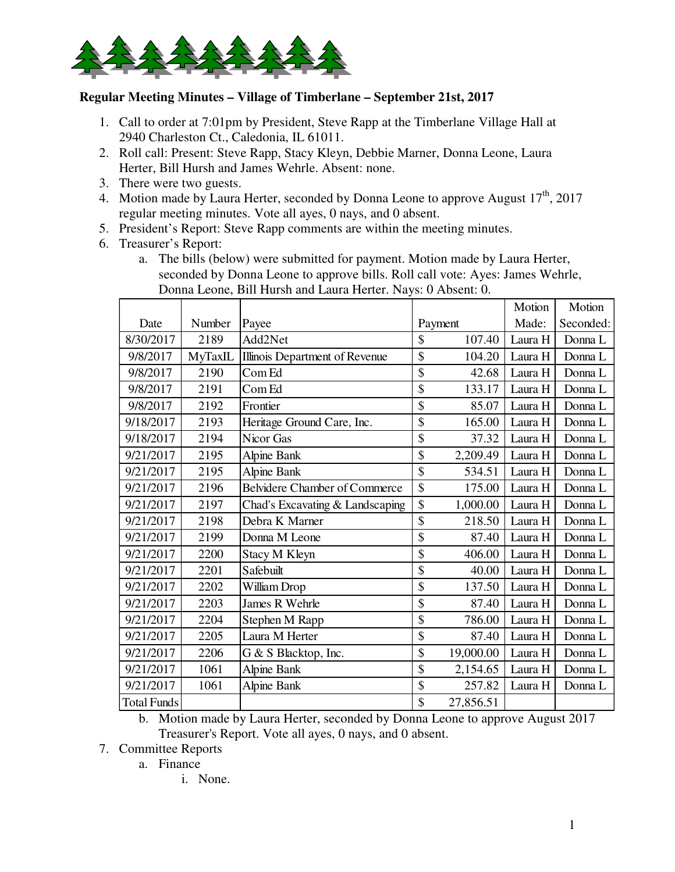

## **Regular Meeting Minutes – Village of Timberlane – September 21st, 2017**

- 1. Call to order at 7:01pm by President, Steve Rapp at the Timberlane Village Hall at 2940 Charleston Ct., Caledonia, IL 61011.
- 2. Roll call: Present: Steve Rapp, Stacy Kleyn, Debbie Marner, Donna Leone, Laura Herter, Bill Hursh and James Wehrle. Absent: none.
- 3. There were two guests.
- 4. Motion made by Laura Herter, seconded by Donna Leone to approve August  $17<sup>th</sup>$ , 2017 regular meeting minutes. Vote all ayes, 0 nays, and 0 absent.
- 5. President's Report: Steve Rapp comments are within the meeting minutes.
- 6. Treasurer's Report:
	- a. The bills (below) were submitted for payment. Motion made by Laura Herter, seconded by Donna Leone to approve bills. Roll call vote: Ayes: James Wehrle, Donna Leone, Bill Hursh and Laura Herter. Nays: 0 Absent: 0.

|                    |         |                                 |         |           | Motion  | Motion    |
|--------------------|---------|---------------------------------|---------|-----------|---------|-----------|
| Date               | Number  | Payee                           | Payment |           | Made:   | Seconded: |
| 8/30/2017          | 2189    | Add2Net                         | \$      | 107.40    | Laura H | Donna L   |
| 9/8/2017           | MyTaxIL | Illinois Department of Revenue  | \$      | 104.20    | Laura H | Donna L   |
| 9/8/2017           | 2190    | Com Ed                          | \$      | 42.68     | Laura H | Donna L   |
| 9/8/2017           | 2191    | Com Ed                          | \$      | 133.17    | Laura H | Donna L   |
| 9/8/2017           | 2192    | Frontier                        | \$      | 85.07     | Laura H | Donna L   |
| 9/18/2017          | 2193    | Heritage Ground Care, Inc.      | \$      | 165.00    | Laura H | Donna L   |
| 9/18/2017          | 2194    | Nicor Gas                       | \$      | 37.32     | Laura H | Donna L   |
| 9/21/2017          | 2195    | Alpine Bank                     | \$      | 2,209.49  | Laura H | Donna L   |
| 9/21/2017          | 2195    | <b>Alpine Bank</b>              | \$      | 534.51    | Laura H | Donna L   |
| 9/21/2017          | 2196    | Belvidere Chamber of Commerce   | \$      | 175.00    | Laura H | Donna L   |
| 9/21/2017          | 2197    | Chad's Excavating & Landscaping | \$      | 1,000.00  | Laura H | Donna L   |
| 9/21/2017          | 2198    | Debra K Marner                  | \$      | 218.50    | Laura H | Donna L   |
| 9/21/2017          | 2199    | Donna M Leone                   | \$      | 87.40     | Laura H | Donna L   |
| 9/21/2017          | 2200    | Stacy M Kleyn                   | \$      | 406.00    | Laura H | Donna L   |
| 9/21/2017          | 2201    | Safebuilt                       | \$      | 40.00     | Laura H | Donna L   |
| 9/21/2017          | 2202    | William Drop                    | \$      | 137.50    | Laura H | Donna L   |
| 9/21/2017          | 2203    | James R Wehrle                  | \$      | 87.40     | Laura H | Donna L   |
| 9/21/2017          | 2204    | Stephen M Rapp                  | \$      | 786.00    | Laura H | Donna L   |
| 9/21/2017          | 2205    | Laura M Herter                  | \$      | 87.40     | Laura H | Donna L   |
| 9/21/2017          | 2206    | G & S Blacktop, Inc.            | \$      | 19,000.00 | Laura H | Donna L   |
| 9/21/2017          | 1061    | Alpine Bank                     | \$      | 2,154.65  | Laura H | Donna L   |
| 9/21/2017          | 1061    | Alpine Bank                     | \$      | 257.82    | Laura H | Donna L   |
| <b>Total Funds</b> |         |                                 | \$      | 27,856.51 |         |           |

b. Motion made by Laura Herter, seconded by Donna Leone to approve August 2017 Treasurer's Report. Vote all ayes, 0 nays, and 0 absent.

- 7. Committee Reports
	- a. Finance
		- i. None.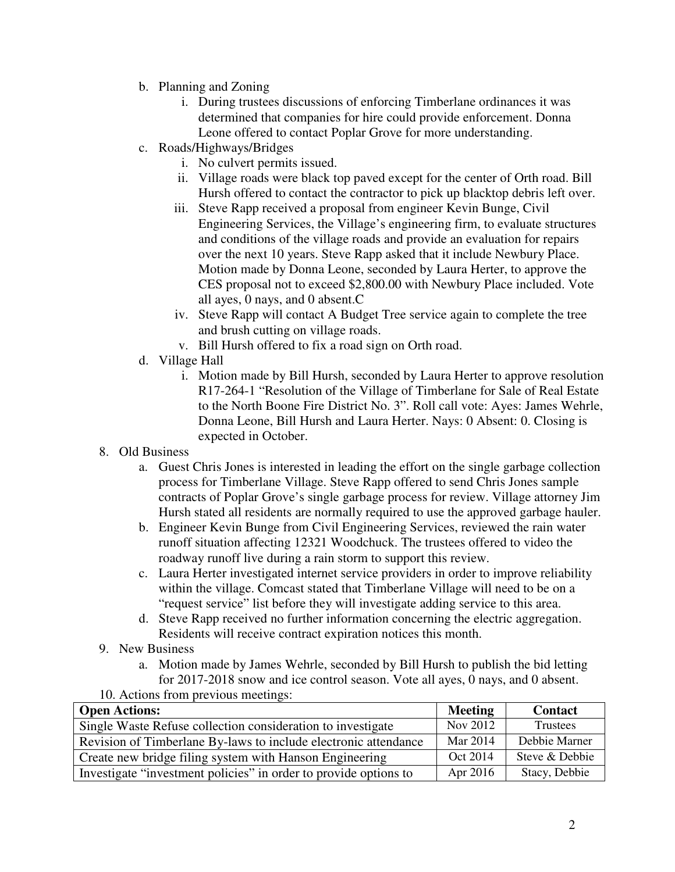- b. Planning and Zoning
	- i. During trustees discussions of enforcing Timberlane ordinances it was determined that companies for hire could provide enforcement. Donna Leone offered to contact Poplar Grove for more understanding.
- c. Roads/Highways/Bridges
	- i. No culvert permits issued.
	- ii. Village roads were black top paved except for the center of Orth road. Bill Hursh offered to contact the contractor to pick up blacktop debris left over.
	- iii. Steve Rapp received a proposal from engineer Kevin Bunge, Civil Engineering Services, the Village's engineering firm, to evaluate structures and conditions of the village roads and provide an evaluation for repairs over the next 10 years. Steve Rapp asked that it include Newbury Place. Motion made by Donna Leone, seconded by Laura Herter, to approve the CES proposal not to exceed \$2,800.00 with Newbury Place included. Vote all ayes, 0 nays, and 0 absent.C
	- iv. Steve Rapp will contact A Budget Tree service again to complete the tree and brush cutting on village roads.
	- v. Bill Hursh offered to fix a road sign on Orth road.
- d. Village Hall
	- i. Motion made by Bill Hursh, seconded by Laura Herter to approve resolution R17-264-1 "Resolution of the Village of Timberlane for Sale of Real Estate to the North Boone Fire District No. 3". Roll call vote: Ayes: James Wehrle, Donna Leone, Bill Hursh and Laura Herter. Nays: 0 Absent: 0. Closing is expected in October.
- 8. Old Business
	- a. Guest Chris Jones is interested in leading the effort on the single garbage collection process for Timberlane Village. Steve Rapp offered to send Chris Jones sample contracts of Poplar Grove's single garbage process for review. Village attorney Jim Hursh stated all residents are normally required to use the approved garbage hauler.
	- b. Engineer Kevin Bunge from Civil Engineering Services, reviewed the rain water runoff situation affecting 12321 Woodchuck. The trustees offered to video the roadway runoff live during a rain storm to support this review.
	- c. Laura Herter investigated internet service providers in order to improve reliability within the village. Comcast stated that Timberlane Village will need to be on a "request service" list before they will investigate adding service to this area.
	- d. Steve Rapp received no further information concerning the electric aggregation. Residents will receive contract expiration notices this month.
- 9. New Business
	- a. Motion made by James Wehrle, seconded by Bill Hursh to publish the bid letting for 2017-2018 snow and ice control season. Vote all ayes, 0 nays, and 0 absent.
- 10. Actions from previous meetings:

| <b>Open Actions:</b>                                             | <b>Meeting</b> | <b>Contact</b> |
|------------------------------------------------------------------|----------------|----------------|
| Single Waste Refuse collection consideration to investigate      | Nov 2012       | Trustees       |
| Revision of Timberlane By-laws to include electronic attendance  | Mar 2014       | Debbie Marner  |
| Create new bridge filing system with Hanson Engineering          | Oct 2014       | Steve & Debbie |
| Investigate "investment policies" in order to provide options to | Apr 2016       | Stacy, Debbie  |